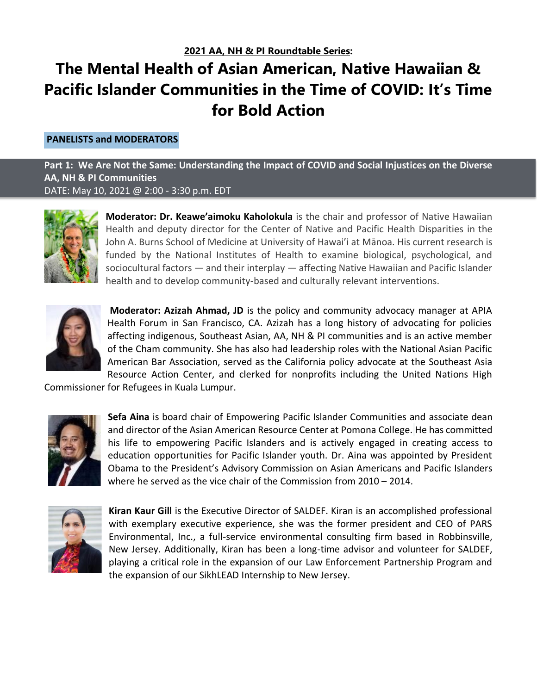## **The Mental Health of Asian American, Native Hawaiian & Pacific Islander Communities in the Time of COVID: It's Time for Bold Action**

## **PANELISTS and MODERATORS**

**Part 1: We Are Not the Same: Understanding the Impact of COVID and Social Injustices on the Diverse AA, NH & PI Communities** DATE: May 10, 2021 @ 2:00 - 3:30 p.m. EDT



**Moderator: Dr. Keawe'aimoku Kaholokula** is the chair and professor of Native Hawaiian Health and deputy director for the Center of Native and Pacific Health Disparities in the John A. Burns School of Medicine at University of Hawai'i at Mānoa. His current research is funded by the National Institutes of Health to examine biological, psychological, and sociocultural factors — and their interplay — affecting Native Hawaiian and Pacific Islander health and to develop community-based and culturally relevant interventions.



**Moderator: Azizah Ahmad, JD** is the policy and community advocacy manager at APIA Health Forum in San Francisco, CA. Azizah has a long history of advocating for policies affecting indigenous, Southeast Asian, AA, NH & PI communities and is an active member of the Cham community. She has also had leadership roles with the National Asian Pacific American Bar Association, served as the California policy advocate at the Southeast Asia Resource Action Center, and clerked for nonprofits including the United Nations High

Commissioner for Refugees in Kuala Lumpur.



**Sefa Aina** is board chair of Empowering Pacific Islander Communities and associate dean and director of the Asian American Resource Center at Pomona College. He has committed his life to empowering Pacific Islanders and is actively engaged in creating access to education opportunities for Pacific Islander youth. Dr. Aina was appointed by President Obama to the President's Advisory Commission on Asian Americans and Pacific Islanders where he served as the vice chair of the Commission from 2010 – 2014.



**Kiran Kaur Gill** is the Executive Director of SALDEF. Kiran is an accomplished professional with exemplary executive experience, she was the former president and CEO of PARS Environmental, Inc., a full-service environmental consulting firm based in Robbinsville, New Jersey. Additionally, Kiran has been a long-time advisor and volunteer for SALDEF, playing a critical role in the expansion of our Law Enforcement Partnership Program and the expansion of our SikhLEAD Internship to New Jersey.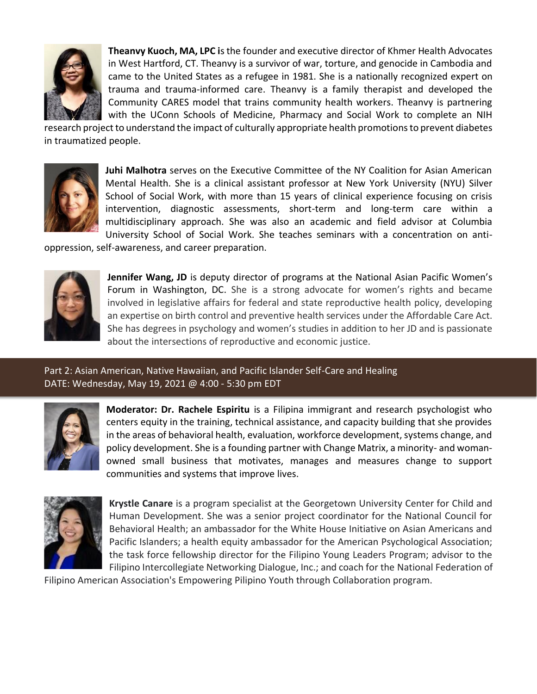

**Theanvy Kuoch, MA, LPC i**s the founder and executive director of Khmer Health Advocates in West Hartford, CT. Theanvy is a survivor of war, torture, and genocide in Cambodia and came to the United States as a refugee in 1981. She is a nationally recognized expert on trauma and trauma-informed care. Theanvy is a family therapist and developed the Community CARES model that trains community health workers. Theanvy is partnering with the UConn Schools of Medicine, Pharmacy and Social Work to complete an NIH

research project to understand the impact of culturally appropriate health promotions to prevent diabetes in traumatized people.



**Juhi Malhotra** serves on the Executive Committee of the NY Coalition for Asian American Mental Health. She is a clinical assistant professor at New York University (NYU) Silver School of Social Work, with more than 15 years of clinical experience focusing on crisis intervention, diagnostic assessments, short-term and long-term care within a multidisciplinary approach. She was also an academic and field advisor at Columbia University School of Social Work. She teaches seminars with a concentration on anti-

oppression, self-awareness, and career preparation.



**Jennifer Wang, JD** is deputy director of programs at the National Asian Pacific Women's Forum in Washington, DC. She is a strong advocate for women's rights and became involved in legislative affairs for federal and state reproductive health policy, developing an expertise on birth control and preventive health services under the Affordable Care Act. She has degrees in psychology and women's studies in addition to her JD and is passionate about the intersections of reproductive and economic justice.

Part 2: Asian American, Native Hawaiian, and Pacific Islander Self-Care and Healing DATE: Wednesday, May 19, 2021 @ 4:00 - 5:30 pm EDT



**Moderator: Dr. Rachele Espiritu** is a Filipina immigrant and research psychologist who centers equity in the training, technical assistance, and capacity building that she provides in the areas of behavioral health, evaluation, workforce development, systems change, and policy development. She is a founding partner with Change Matrix, a minority- and womanowned small business that motivates, manages and measures change to support communities and systems that improve lives.



**Krystle Canare** is a program specialist at the Georgetown University Center for Child and Human Development. She was a senior project coordinator for the National Council for Behavioral Health; an ambassador for the White House Initiative on Asian Americans and Pacific Islanders; a health equity ambassador for the American Psychological Association; the task force fellowship director for the Filipino Young Leaders Program; advisor to the Filipino Intercollegiate Networking Dialogue, Inc.; and coach for the National Federation of

Filipino American Association's Empowering Pilipino Youth through Collaboration program.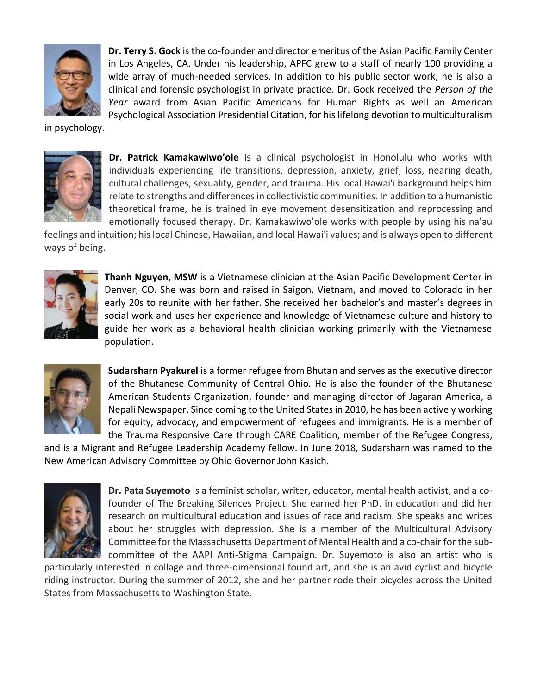

**Dr. Terry S. Gock** is the co-founder and director emeritus of the Asian Pacific Family Center in Los Angeles, CA. Under his leadership, APFC grew to a staff of nearly 100 providing a wide array of much-needed services. In addition to his public sector work, he is also a clinical and forensic psychologist in private practice. Dr. Gock received the *Person of the Year* award from Asian Pacific Americans for Human Rights as well an American Psychological Association Presidential Citation, for his lifelong devotion to multiculturalism

in psychology.



**Dr. Patrick Kamakawiwo'ole** is a clinical psychologist in Honolulu who works with individuals experiencing life transitions, depression, anxiety, grief, loss, nearing death, cultural challenges, sexuality, gender, and trauma. His local Hawai'i background helps him relate to strengths and differences in collectivistic communities. In addition to a humanistic theoretical frame, he is trained in eye movement desensitization and reprocessing and emotionally focused therapy. Dr. Kamakawiwo'ole works with people by using his na'au

feelings and intuition; his local Chinese, Hawaiian, and local Hawai'i values; and is always open to different ways of being.



**Thanh Nguyen, MSW** is a Vietnamese clinician at the Asian Pacific Development Center in Denver, CO. She was born and raised in Saigon, Vietnam, and moved to Colorado in her early 20s to reunite with her father. She received her bachelor's and master's degrees in social work and uses her experience and knowledge of Vietnamese culture and history to guide her work as a behavioral health clinician working primarily with the Vietnamese population.



**Sudarsharn Pyakurel** is a former refugee from Bhutan and serves as the executive director of the Bhutanese Community of Central Ohio. He is also the founder of the Bhutanese American Students Organization, founder and managing director of Jagaran America, a Nepali Newspaper. Since coming to the United States in 2010, he has been actively working for equity, advocacy, and empowerment of refugees and immigrants. He is a member of the Trauma Responsive Care through CARE Coalition, member of the Refugee Congress,

and is a Migrant and Refugee Leadership Academy fellow. In June 2018, Sudarsharn was named to the New American Advisory Committee by Ohio Governor John Kasich.



**Dr. Pata Suyemoto** is a feminist scholar, writer, educator, mental health activist, and a cofounder of The Breaking Silences Project. She earned her PhD. in education and did her research on multicultural education and issues of race and racism. She speaks and writes about her struggles with depression. She is a member of the Multicultural Advisory Committee for the Massachusetts Department of Mental Health and a co-chair for the subcommittee of the AAPI Anti-Stigma Campaign. Dr. Suyemoto is also an artist who is

particularly interested in collage and three-dimensional found art, and she is an avid cyclist and bicycle riding instructor. During the summer of 2012, she and her partner rode their bicycles across the United States from Massachusetts to Washington State.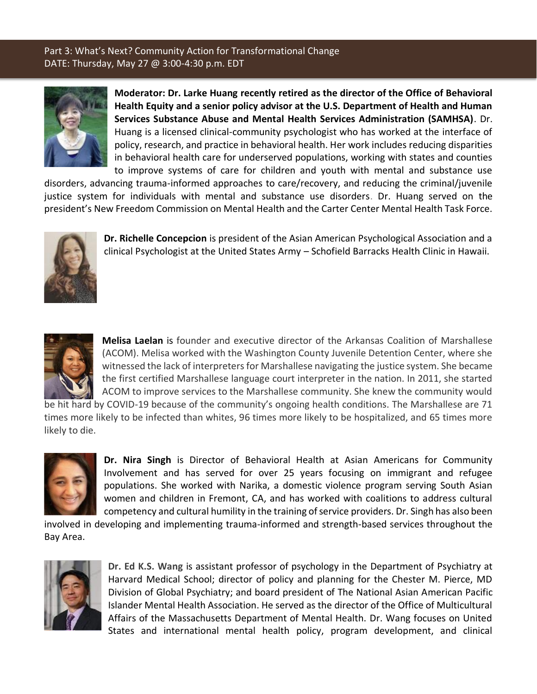## Part 3: What's Next? Community Action for Transformational Change DATE: Thursday, May 27 @ 3:00-4:30 p.m. EDT



**Moderator: Dr. Larke Huang recently retired as the director of the Office of Behavioral Health Equity and a senior policy advisor at the U.S. Department of Health and Human Services Substance Abuse and Mental Health Services Administration (SAMHSA)**. Dr. Huang is a licensed clinical-community psychologist who has worked at the interface of policy, research, and practice in behavioral health. Her work includes reducing disparities in behavioral health care for underserved populations, working with states and counties to improve systems of care for children and youth with mental and substance use

disorders, advancing trauma-informed approaches to care/recovery, and reducing the criminal/juvenile justice system for individuals with mental and substance use disorders. Dr. Huang served on the president's New Freedom Commission on Mental Health and the Carter Center Mental Health Task Force.



**Dr. Richelle Concepcion** is president of the Asian American Psychological Association and a clinical Psychologist at the United States Army – Schofield Barracks Health Clinic in Hawaii.



**Melisa Laelan** is founder and executive director of the Arkansas Coalition of Marshallese (ACOM). Melisa worked with the Washington County Juvenile Detention Center, where she witnessed the lack of interpreters for Marshallese navigating the justice system. She became the first certified Marshallese language court interpreter in the nation. In 2011, she started ACOM to improve services to the Marshallese community. She knew the community would

be hit hard by COVID-19 because of the community's ongoing health conditions. The Marshallese are 71 times more likely to be infected than whites, 96 times more likely to be hospitalized, and 65 times more likely to die.



**Dr. Nira Singh** is Director of Behavioral Health at Asian Americans for Community Involvement and has served for over 25 years focusing on immigrant and refugee populations. She worked with Narika, a domestic violence program serving South Asian women and children in Fremont, CA, and has worked with coalitions to address cultural competency and cultural humility in the training of service providers. Dr. Singh has also been

involved in developing and implementing trauma-informed and strength-based services throughout the Bay Area.



**Dr. Ed K.S. Wang** is assistant professor of psychology in the Department of Psychiatry at Harvard Medical School; director of policy and planning for the Chester M. Pierce, MD Division of Global Psychiatry; and board president of The National Asian American Pacific Islander Mental Health Association. He served as the director of the Office of Multicultural Affairs of the Massachusetts Department of Mental Health. Dr. Wang focuses on United States and international mental health policy, program development, and clinical